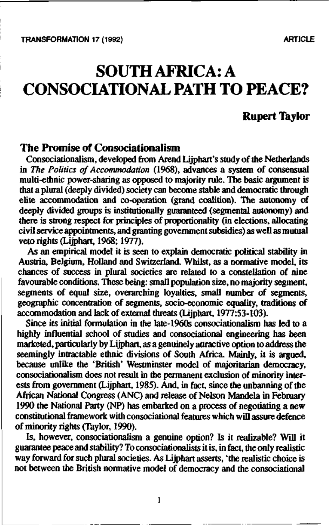**TRANSFORMATION 17 (1992)** ARTICLE

# **SOUTH AFRICA: A CONSOCIATIONAL PATH TO PEACE?**

**Rupert Taylor**

# **The Promise of Consociationalism**

Consociationalism, developed from Arend Lijphart's study of the Netherlands in *The Politics of Accommodation* (1968), advances a system of consensual multi-ethnic power-sharing as opposed to majority rule. The basic argument is that a plural (deeply divided) society can become stable and democratic through elite accommodation and co-operation (grand coalition). The autonomy of deeply divided groups is institutionally guaranteed (segmental autonomy) and there is strong respect for principles of proportionality (in elections, allocating civil service appointments, and granting government subsidies) as well as mutual veto rights (Lijphart, 1968; 1977).

As an empirical model it is seen to explain democratic political stability in Austria, Belgium, Holland and Switzerland. Whilst, as a normative model, its chances of success in plural societies are related to a constellation of nine favourable conditions. These being: small population size, no majority segment, segments of equal size, overarching loyalties, small number of segments, geographic concentration of segments, socio-economic equality, traditions of accommodation and lack of external threats (Lijphart, 1977:53-103).

Since its initial formulation in the late-1960s consociationalism has led to a highly influential school of studies and consociational engineering has been marketed, particularly by Lijphart, as a genuinely attractive option to address the seemingly intractable ethnic divisions of South Africa. Mainly, it is argued, because unlike the 'British' Westminster model of majoritarian democracy, consociationalism does not result in the permanent exclusion of minority interests from government (Lijphart, 1985). And, in fact, since the unbanning of the African National Congress (ANC) and release of Nelson Mandela in February 1990 the National Party (NP) has embarked on a process of negotiating a new constitutional framework with consociational features which will assure defence of minority rights (Taylor, 1990).

Is, however, consociationalism a genuine option? Is it realizable? Will it guarantee peace and stability? To consocian'onalists it is, in fact, the only realistic way forward for such plural societies. As Lijphart asserts, 'the realistic choice is not between the British normative model of democracy and the consociational

 $\mathbf{I}$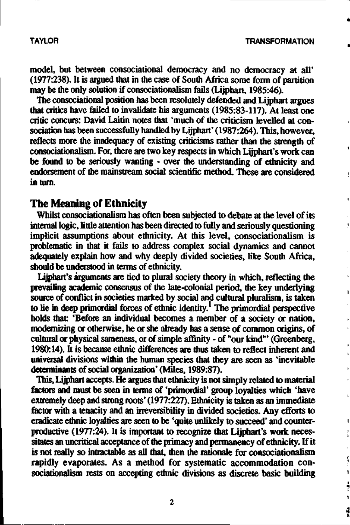**model, but between consociational democracy and no democracy at all' (1977:238). It is argued that in the case of South Africa some form of partition may be the only solution if consociationalism fails (Lijphart, 1985:46).**

**The consociational position has been resolutely defended and Lijphart argues that critics have failed to invalidate his arguments (1985:83-117). At least one critic concurs: David Laitin notes that 'much of the criticism levelled at consociation has been successfully handled by Lijphart' (1987:264). This, however, reflects more the inadequacy of existing criticisms rather than the strength of consociationalism. For, there are two key respects in which Lijphart's work can be found to be seriously wanting - over the understanding of ethnicity and endorsement of the mainstream social scientific method. These are considered in turn.**

# **The Meaning of Ethnicity**

**Whilst consociationalism has often been subjected to debate at the level of its internal logic, little attention has been directed to fully and seriously questioning implicit assumptions about ethnicity. At this level, consociationalism is problematic in that it fails to address complex social dynamics and cannot adequately explain how and why deeply divided societies, like South Africa, should be understood in terms of ethnicity.**

**Lijphart's arguments are tied to plural society theory in which, reflecting the prevailing academic consensus of the late-colonial period, the key underlying source of conflict in societies marked by social and cultural pluralism, is taken to lie in deep primordial forces of ethnic identity.<sup>1</sup> The primordial perspective holds that: 'Before an individual becomes a member of a society or nation, modernizing or otherwise, he or she already has a sense of common origins, of cultural or physical sameness, or of simple affinity - of "our kind"' (Greenberg, 1980:14). It is because ethnic differences are thus taken to reflect inherent and universal divisions within the human species that they are seen as 'inevitable determinants of social organization' (Miles, 1989:87).**

This, Lijphart accepts. He argues that ethnicity is not simply related to material **factors and must be seen in terms of 'primordial' group loyalties which 'have extremely deep and strong roots' (1977:227). Ethnicity is taken as an immediate factor with a tenacity and an irreversibility in divided societies. Any efforts to eradicate ethnic loyalties are seen to be 'quite unlikely to succeed' and counterproductive (1977:24). It is important to recognize that Lijphart's work necessitates an uncritical acceptance of the primacy and permanency of ethnicity. If it** is not really so intractable as all that, then the rationale for consociationalism **rapidly evaporates. As a method for systematic accommodation consociationalism rests on accepting ethnic divisions as discrete basic building**

 $\overline{c}$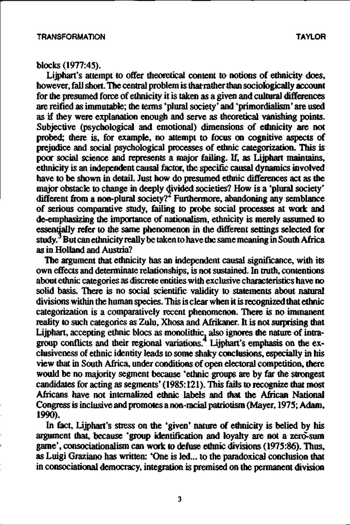## blocks (1977:45).

Lijphart's attempt to offer theoretical content to notions of ethnicity does, however, fall short. The central problem is that rather than sociologically account for the presumed force of ethnicity it is taken as a given and cultural differences are reified as immutable; the terms 'plural society' and 'primordialism' are used as if they were explanation enough and serve as theoretical vanishing points. Subjective (psychological and emotional) dimensions of ethnicity are not probed; there is, for example, no attempt to focus on cognitive aspects of prejudice and social psychological processes of ethnic categorization. This is poor social science and represents a major failing. If, as Lijphart maintains, ethnicity is an independent causal factor, the specific causal dynamics involved have to be shown in detail. Just how do presumed ethnic differences act as the major obstacle to change in deeply divided societies? How is a 'plural society' different from a non-plural society? Furthermore, abandoning any semblance of serious comparative study, failing to probe social processes at work and de-emphasizing the importance of nationalism, ethnicity is merely assumed to essentially refer to the same phenomenon in the different settings selected for study.<sup>3</sup> But can ethnicity really be taken to have the same meaning in South Africa as in Holland and Austria?

The argument that ethnicity has an independent causal significance, with its own effects and determinate relationships, is not sustained. In truth, contentions about ethnic categories as discrete entities with exclusive characteristics have no solid basis. There is no social scientific validity to statements about natural divisions within the human species. This is clear when it is recognized that ethnic categorization is a comparatively recent phenomenon. There is no immanent reality to such categories as Zulu, Xhosa and Afrikaner. It is not surprising that Lijphart, accepting ethnic blocs as monolithic, also ignores the nature of intragroup conflicts and their regional variations.<sup>4</sup> Lijphart's emphasis on the exclusiveness of ethnic identity leads to some shaky conclusions, especially in his view that in South Africa, under conditions of open electoral competition, there would be no majority segment because 'ethnic groups are by far the strongest candidates for acting as segments' (1985:121). This fails to recognize that most Africans have not internalized ethnic labels and that the African National Congress is inclusive and promotes a non-racial patriotism (Mayer, 1975; Adam, 1990).

In fact, Lijphart's stress on the 'given' nature of ethnicity is belied by his argument that, because 'group identification and loyalty are not a zero-sum game', consociationalism can work to defuse ethnic divisions (1975:86). Thus, as Luigi Graziano has written: 'One is led... to the paradoxical conclusion that in consociational democracy, integration is premised on the permanent division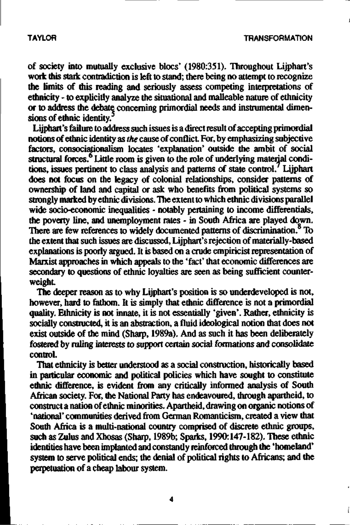**of society into mutually exclusive blocs' (1980:351). Throughout Lijphart's work this stark contradiction is left to stand; there being no attempt to recognize the limits of this reading and seriously assess competing interpretations of ethnicity - to explicitly analyze the situational and malleable nature of ethnicity or to address the debate concerning primordial needs and instrumental dimensions of ethnic identity.<sup>5</sup>**

**Lijphart's failure to address such issues is a direct result of accepting primordial notions of ethnic identity as** *the* **cause of conflict. For, by emphasizing subjective factors, consociationalism locates 'explanation' outside the ambit of social** structural forces.<sup>6</sup> Little room is given to the role of underlying material condi**tions, issues pertinent to class analysis and patterns of state control. Lijphart does not focus on the legacy of colonial relationships, consider patterns of ownership of land and capital or ask who benefits from political systems so strongly marked by ethnic divisions. The extent to which ethnic divisions parallel wide socio-economic inequalities - notably pertaining to income differentials, the poverty line, and unemployment rates - in South Africa are played down. There are few references to widely documented patterns of discrimination. To the extent that such issues are discussed, Lijphart's rejection of materially-based explanations is poorly argued. It is based on a crude empiricist representation of Marxist approaches in which appeals to the 'fact' that economic differences are secondary to questions of ethnic loyalties are seen as being sufficient counterweight**

**The deeper reason as to why Lijphart's position is so underdeveloped is not, however, hard to fathom. It is simply that ethnic difference is not a primordial quality. Ethnicity is not innate, it is not essentially 'given'. Rather, ethnicity is socially constructed, it is an abstraction, a fluid ideological notion that does not exist outside of the mind (Sharp, 1989a). And as such it has been deliberately fostered by ruling interests to support certain social formations and consolidate control.**

**That ethnicity is better understood as a social construction, historically based in particular economic and political policies which have sought to constitute ethnic difference, is evident from any critically informed analysis of South African society. For, the National Party has endeavoured, through apartheid, to construct a nation of ethnic minorities. Apartheid, drawing on organic notions of 'national' communities derived from German Romanticism, created a view that South Africa is a multi-national country comprised of discrete ethnic groups, such as Zulus and Xhosas (Sharp, 1989b; Sparks, 1990:147-182). These ethnic identities have been implanted and constantly reinforced through the' homeland' system to serve political ends; the denial of political rights to Africans; and the perpetuation of a cheap labour system.**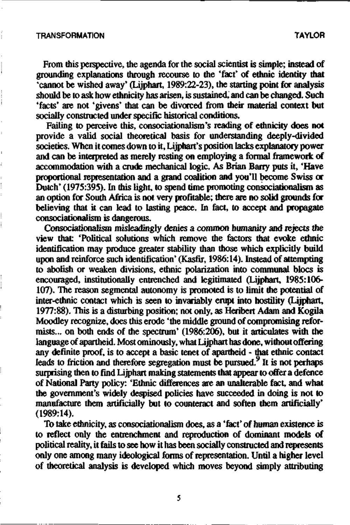From this perspective, the agenda for the social scientist is simple; instead of grounding explanations through recourse to the 'fact' of ethnic identity that 'cannot be wished away' (Lijphart, 1989:22-23), the starting point for analysis should be to ask how ethnicity has arisen, is sustained, and can be changed. Such 'facts' are not 'givens' that can be divorced from their material context but socially constructed under specific historical conditions.

Failing to perceive this, consociationalism's reading of ethnicity does not provide a valid social theoretical basis for understanding deeply-divided societies. When it comes down to it, Lijphart's position lacks explanatory power and can be interpreted as merely resting on employing a formal framework of accommodation with a crude mechanical logic. As Brian Barry puts it, 'Have proportional representation and a grand coalition and you'll become Swiss or Dutch' (1975:395). In this light, to spend time promoting consociationalism as an option for South Africa is not very profitable; there are no solid grounds for believing that it can lead to lasting peace. In fact, to accept and propagate consociationalism is dangerous.

Consociationalism misleadingly denies a common humanity and rejects the view that: 'Political solutions which remove the factors that evoke ethnic identification may produce greater stability than those which explicitly build upon and reinforce such identification' (Kasfir, 1986:14). Instead of attempting to abolish or weaken divisions, ethnic polarization into communal blocs is encouraged, institutionally entrenched and legitimated (Lijphart, 1985:106- 107). The reason segmental autonomy is promoted is to limit the potential of inter-ethnic contact which is seen to invariably erupt into hostility (Lijphart, 1977:88). This is a disturbing position; not only, as Heribert Adam and Kogila Moodley recognize, does this erode 'the middle ground of compromising reformists... on both ends of the spectrum' (1986:206), but it articulates with the language of apartheid. Most ominously, what Lijphart has done, without offering any definite proof, is to accept a basic tenet of apartheid - that ethnic contact leads to friction and therefore segregation must be pursued.  $9$  It is not perhaps surprising then to find Lijphart making statements that appear to offer a defence of National Party policy: 'Ethnic differences are an unalterable fact, and what the government's widely despised policies have succeeded in doing is not to manufacture them artificially but to counteract and soften them artificially' (1989:14).

To take ethnicity, as consociationalism does, as a 'fact' of human existence is to reflect only the entrenchment and reproduction of dominant models of political reality, it fails to see how it has been socially constructed and represents only one among many ideological forms of representation. Until a higher level of theoretical analysis is developed which moves beyond simply attributing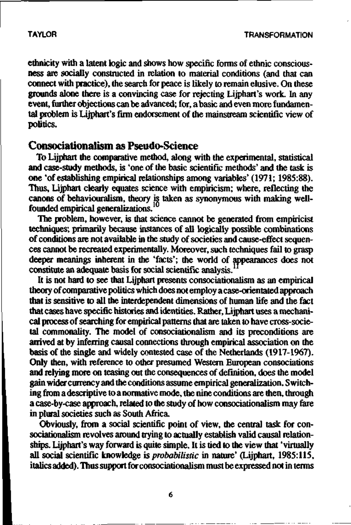ethnicity with a latent logic and shows how specific forms of ethnic consciousness are socially constructed in relation to material conditions (and that can connect with practice), the search for peace is likely to remain elusive. On these grounds alone there is a convincing case for rejecting Lijphart's work. In any event, further objections can be advanced; for, a basic and even more fundamental problem is Lijphart's firm endorsement of the mainstream scientific view of politics.

# **Consociationalism as Pseudo-Science**

To Lijphart the comparative method, along with the experimental, statistical and case-study methods, is 'one of the basic scientific methods' and the task is one 'of establishing empirical relationships among variables' (1971; 1985:88). Thus. Liiphart clearly equates science with empiricism; where, reflecting the canons of behaviouralism, theory is taken as synonymous with making wellfounded empirical generalizations.<sup>1</sup>

The problem, however, is that science cannot be generated from empiricist techniques; primarily because instances of all logically possible combinations of conditions are not available in the study of societies and cause-effect sequences cannot be recreated experimentally. Moreover, such techniques fail to grasp deeper meanings inherent in the 'facts'; the world of appearances does not constitute an adequate basis for social scientific analysis.<sup>1</sup>

It is not hard to see that Lijphart presents consociationalism as an empirical theory of comparative politics which does not employ a case-orientated approach that is sensitive to all the interdependent dimensions of human life and the fact that cases have specific histories and identities. Rather, Lijphart uses a mechanical process of searching for empirical patterns that are taken to have cross-societal commonality. The model of consociationalism and its preconditions are arrived at by inferring causal connections through empirical association on the basis of the single and widely contested case of the Netherlands (1917-1967). Only then, with reference to other presumed Western European consociations and relying more on teasing out the consequences of definition, does the model gain wider currency and the conditions assume empirical generalization. Switching from a descriptive to a normative mode, the nine conditions are then, through a case-by-case approach, related to the study of how consociationalism may fare in plural societies such as South Africa.

Obviously, from a social scientific point of view, the central task for consociationalism revolves around trying to actually establish valid causal relationships. Lijphart's way forward is quite simple. It is tied to the view that 'virtually all social scientific knowledge *is probabilistic* in nature' (Lijphart, 1985:115, italics added). Thus support for consociationalism must be expressed not in terms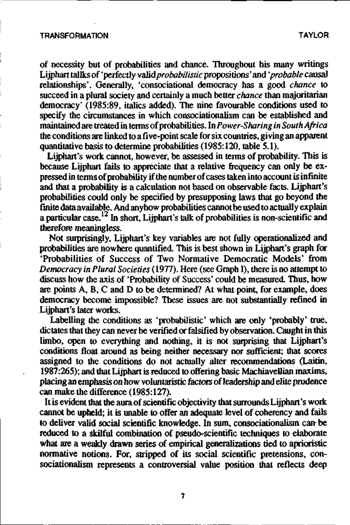of necessity but of probabilities and chance. Throughout his many writings Lijphart tallks of 'perfectly valid *probabilistic* propositions' and *'probable* causal relationships'. Generally, 'consociational democracy has a good *chance* to succeed in a plural society and certainly a much better *chance* than majoritarian democracy' (1985:89, italics added). The nine favourable conditions used to specify the circumstances in which consociationalism can be established and maintained are treated in terms of probabilities. In *Power-Sharing in South Africa* the conditions are linked to a five-point scale for six countries, giving an apparent quantitative basis to determine probabilities (1985:120, table 5.1).

Lijphart's work cannot, however, be assessed in terms of probability. This is because Lijphart fails to appreciate that a relative frequency can only be expressed in terms of probability if the number of cases taken into account is infinite and that a probability is a calculation not based on observable facts. Lijphart's probabilities could only be specified by presupposing laws that go beyond the finite data available. And anyhow probabilities cannot be used to actually explain a particular case.<sup>12</sup> In short, Lijphart's talk of probabilities is non-scientific and therefore meaningless.

Not surprisingly, Lijphart's key variables are not fully operationalized and probabilities are nowhere quantified. This is best shown in Lijphart's graph for 'Probabilities of Success of Two Normative Democratic Models' from *Democracy in Plural Societies* (1977). Here (see Graph I), there is no attempt to discuss how the axis of 'Probability of Success' could be measured. Thus, how are points A, B, C and D to be determined? At what point, for example, does democracy become impossible? These issues are not substantially refined in Lijphart's later works.

Labelling the conditions as 'probabilistic' which are only 'probably' true, dictates that they can never be verified or falsified by observation. Caught in this limbo, open to everything and nothing, it is not surprising that Lijphart's conditions float around as being neither necessary nor sufficient; that scores assigned to the conditions do not actually alter recommendations (Laitin, 1987:265); and that Lijphart is reduced to offering basic Machiavellian maxims, placing an emphasis on how voluntaristic factors of leadership and elite prudence can make the difference (1985:127).

It is evident that the aura of scientific objectivity that surrounds Lijphart's work cannot be upheld; it is unable to offer an adequate level of coherency and fails to deliver valid social scientific knowledge. In sum, consociationalism can- be reduced to a skilful combination of pseudo-scientific techniques to elaborate what are a weakly drawn series of empirical generalizations tied to aprioristic normative notions. For, stripped of its social scientific pretensions, consociationalism represents a controversial value position that reflects deep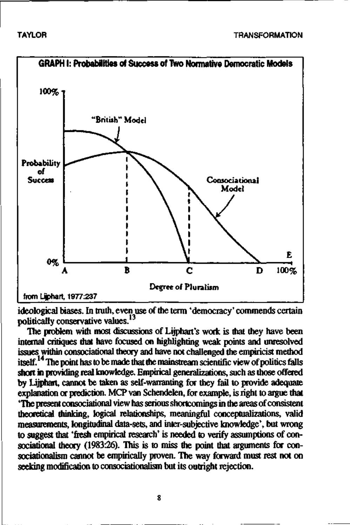

ideological biases. In truth, even use of the term 'democracy' commends certain politically conservative values.<sup>13</sup>

The problem with most discussions of Lijphart's work is that they have been internal critiques that have focused on highlighting weak points and unresolved issues within consociational theory and have not challenged the empiricist method itself.<sup>14</sup> The point has to be made that the mainstream scientific view of politics falls short in providing real knowledge. Empirical generalizations, such as those offered by lijphart, cannot be taken as self-warranting for they fail to provide adequate explanation or prediction. MCP van Schendeien, for example, is right to argue that "The present consociational view has serious shortcomings in the areas of consistent theoretical thinking, logical relationships, meaningful conceptualizations, valid measurements, longitudinal data-sets, and inter-subjective knowledge', but wrong to suggest that 'fresh empirical research' is needed to verify assumptions of consociational theory (1983:26). This is to miss the point that arguments for consociationalism cannot be empirically proven. The way forward must rest not on seeking modification to consociationalism but its outright rejection.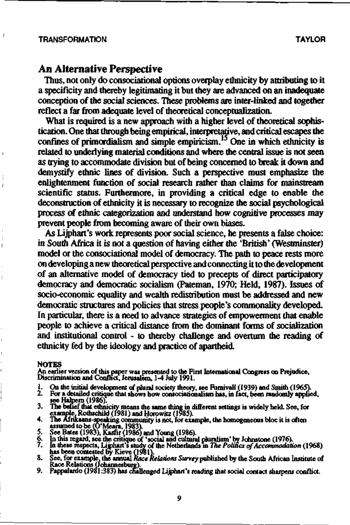$\overline{1}$ 

Ï

# **An Alternative Perspective**

Thus, not only do consociational options overplay ethnicity by attributing to it a specificity and thereby legitimating it but they are advanced on an inadequate conception of the social sciences. These problems are inter-linked and together reflect a far from adequate level of theoretical conceptualization.

What is required is a new approach with a higher level of theoretical sophistication. One that through being empirical, interpretative, and critical escapes the confines of primordialism and simple empiricism.<sup>15</sup> One in which ethnicity is related to underlying material conditions and where the central issue is not seen as trying to accommodate division but of being concerned to break it down and demystify ethnic lines of division. Such a perspective must emphasize the enlightenment function of social research rather than claims for mainstream scientific status. Furthermore, in providing a critical edge to enable the deconstruction of ethnicity it is necessary to recognize the social psychological process of ethnic categorization and understand how cognitive processes may prevent people from becoming aware of their own biases.

As Lijphart's work represents poor social science, he presents a false choice: in South Africa it is not a question of having either the 'British' (Westminster) model or the consociational model of democracy. The path to peace rests more on developing a new theoretical perspective and connecting it to the development of an alternative model of democracy tied to precepts of direct participatory democracy and democratic socialism (Pateman, 1970; Held, 1987). Issues of socio-economic equality and wealth redistribution must be addressed and new democratic structures and policies that stress people's commonality developed. In particular, there is a need to advance strategies of empowerment that enable people to achieve a critical distance from the dominant forms of socialization and institutional control - to thereby challenge and overturn the reading of ethnicity fed by the ideology and practice of apartheid.

#### **NOTES**

**An earlier version of this paper was presented to the First International Congress on Prejudice, Discrimination and Conflict, Jerusalem, 1-4 July 1991.**

- 
- **1. On the initial development of plural society theory, see Fumivall (1939) and Smith (1965). 2. For a detailed critique that shows how consociattonalism has, in fact, been randomly applied,**
- see Halpem (1986).<br>
The belief that ethnicity means the same thing in different settings is widely held. See, for<br>
The belief that ethnicity means the same thing in different settings is widely held. See, for<br>
4. The Afri
- 
- 
- 
- 
- 
-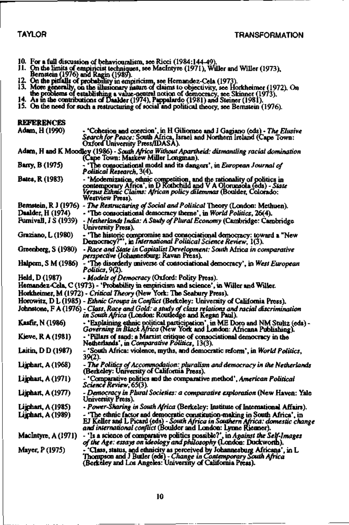- 
- 
- 
- 10. For a full discussion of behaviouralism, see Ricci (1984:144-49).<br>
11. On the limits of empiriciat techniques, see MacIntyre (1971), Willer and Willer (1973),<br>
12. On the pitfalls of probability in empiricism, see Her
- 
- 

| references |  |  |
|------------|--|--|
|            |  |  |

| Adam, H (1990).         | - 'Cohesion and coercion', in H Giliomee and J Gagiano (eds) - The Elusive<br>Search for Peace: South Africa, Israel and Northern Ireland (Cape Town:<br>Oxford University Press/IDASA).                                                   |
|-------------------------|--------------------------------------------------------------------------------------------------------------------------------------------------------------------------------------------------------------------------------------------|
|                         | Adam, H and K Moodley (1986) - South Africa Without Apartheid; dismantling racial domination<br>(Cape Town: Maskew Miller Longman).                                                                                                        |
| Barry, B (1975)         | - 'The consociational model and its dangers', in European Journal of<br>Political Research, 3(4).                                                                                                                                          |
| <b>Bates, R (1983)</b>  | - 'Modernization, ethnic competition, and the rationality of politics in<br>contemporary Africa', in D Rothchild and V A Olorunsola (eds) - State<br>Versus Ethnic Claims: African policy dilemmas (Boulder, Colorado:<br>Westview Press). |
|                         | Bemstein, R J (1976) - The Restructuring of Social and Political Theory (London: Methuen).                                                                                                                                                 |
| Daalder, H (1974).      | - 'The consociational democracy theme', in World Politics, 26(4).                                                                                                                                                                          |
| Furnivall, J.S. (1939)  | - Netherlands India: A Study of Plural Economy (Cambridge: Cambridge<br>University Press).                                                                                                                                                 |
| Graziano, L (1980)      | - 'The historic compromise and consociational democracy: toward a "New<br>Democracy?"', in International Political Science Review, 1(3).                                                                                                   |
| Greenberg, S (1980)     | - Race and State in Capitalist Development: South Africa in comparative<br><i>perspective</i> (Johannesburg: Ravan Press).                                                                                                                 |
|                         | Halpern, S M (1986) - 'The disorderly universe of consociational democracy', in West European<br>Politics, 9(2).                                                                                                                           |
| Held, D (1987)          | - Models of Democracy (Oxford: Polity Press).                                                                                                                                                                                              |
|                         | Hemandez-Cela, C (1973) - 'Probability in empiricism and science', in Willer and Willer.                                                                                                                                                   |
|                         | Horkheimer, M (1972) - Critical Theory (New York: The Seabury Press).                                                                                                                                                                      |
|                         | Horowitz, D L (1985) - Ethnic Groups in Conflict (Berkeley: University of California Press).                                                                                                                                               |
|                         | Johnstone, F A (1976) - Class, Race and Gold: a study of class relations and racial discrimination<br>in South Africa (London: Routledge and Kegan Paul).                                                                                  |
| <b>Kastir, N (1986)</b> | - 'Explaining ethnic political participation', in ME Doro and NM Stultz (eds) -<br>Governing in Black Africa (New York and London: Africana Publishing).                                                                                   |
| Kieve, R A (1981)       | - 'Pillars of sand: a Marxist critique of consociational democracy in the<br>Netherlands', in Comparative Politics, 13(3).                                                                                                                 |
| Laitin, D D (1987)      | - 'South Africa: violence, myths, and democratic reform', in World Politics,<br>39(2).                                                                                                                                                     |
| Lijphart, A (1968)      | - The Politics of Accommodation: pluralism and democracy in the Netherlands<br>(Berkeley: University of California Press).                                                                                                                 |
| Lijphart, A (1971)      | - 'Comparative politics and the comparative method', American Political<br>Science Review, 65(3).                                                                                                                                          |
| Lijphan, A (1977)       | - Democracy in Plural Societies: a comparative exploration (New Haven: Yale<br>University Press).                                                                                                                                          |
| Lijphart, A (1985)      | - Power-Sharing in South Africa (Berkeley: Institute of International Affairs).                                                                                                                                                            |
| Lijphan, A (1989)       | - 'The ethnic factor and democratic constitution-making in South Africa', in<br>EJ Keller and L Picard (eds) - South Africa in Southern Africa: domestic change<br>and international conflict (Boulder and London: Lynne Rienner).         |
| MacIntyre, A (1971)     | - 'Is a science of comparative politics possible?', in Against the Self-Images<br>of the Age: essays on ideology and philosophy (London: Duckworth).                                                                                       |
| Mayer, P (1975)         | $\sim$ Class, status, and ethnicity as perceived by Johannesburg Africans', in L<br>Thompson and J Butler (eds) - Change in Contemporary South Africa<br>(Berkeley and Los Angeles: University of California Preas).                       |